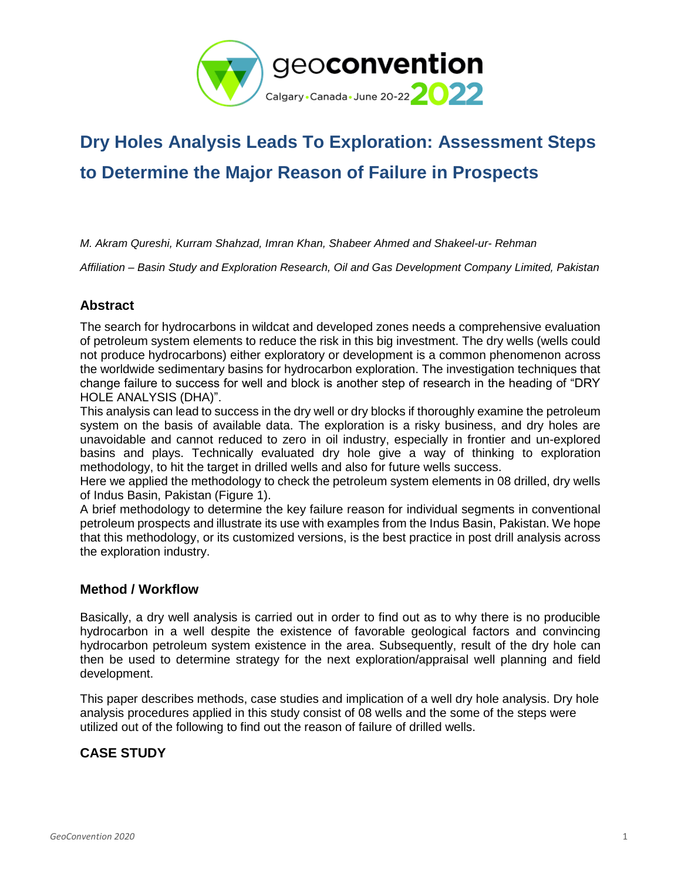

# **Dry Holes Analysis Leads To Exploration: Assessment Steps to Determine the Major Reason of Failure in Prospects**

*M. Akram Qureshi, Kurram Shahzad, Imran Khan, Shabeer Ahmed and Shakeel-ur- Rehman*

*Affiliation – Basin Study and Exploration Research, Oil and Gas Development Company Limited, Pakistan*

## **Abstract**

The search for hydrocarbons in wildcat and developed zones needs a comprehensive evaluation of petroleum system elements to reduce the risk in this big investment. The dry wells (wells could not produce hydrocarbons) either exploratory or development is a common phenomenon across the worldwide sedimentary basins for hydrocarbon exploration. The investigation techniques that change failure to success for well and block is another step of research in the heading of "DRY HOLE ANALYSIS (DHA)".

This analysis can lead to success in the dry well or dry blocks if thoroughly examine the petroleum system on the basis of available data. The exploration is a risky business, and dry holes are unavoidable and cannot reduced to zero in oil industry, especially in frontier and un-explored basins and plays. Technically evaluated dry hole give a way of thinking to exploration methodology, to hit the target in drilled wells and also for future wells success.

Here we applied the methodology to check the petroleum system elements in 08 drilled, dry wells of Indus Basin, Pakistan (Figure 1).

A brief methodology to determine the key failure reason for individual segments in conventional petroleum prospects and illustrate its use with examples from the Indus Basin, Pakistan. We hope that this methodology, or its customized versions, is the best practice in post drill analysis across the exploration industry.

## **Method / Workflow**

Basically, a dry well analysis is carried out in order to find out as to why there is no producible hydrocarbon in a well despite the existence of favorable geological factors and convincing hydrocarbon petroleum system existence in the area. Subsequently, result of the dry hole can then be used to determine strategy for the next exploration/appraisal well planning and field development.

This paper describes methods, case studies and implication of a well dry hole analysis. Dry hole analysis procedures applied in this study consist of 08 wells and the some of the steps were utilized out of the following to find out the reason of failure of drilled wells.

# **CASE STUDY**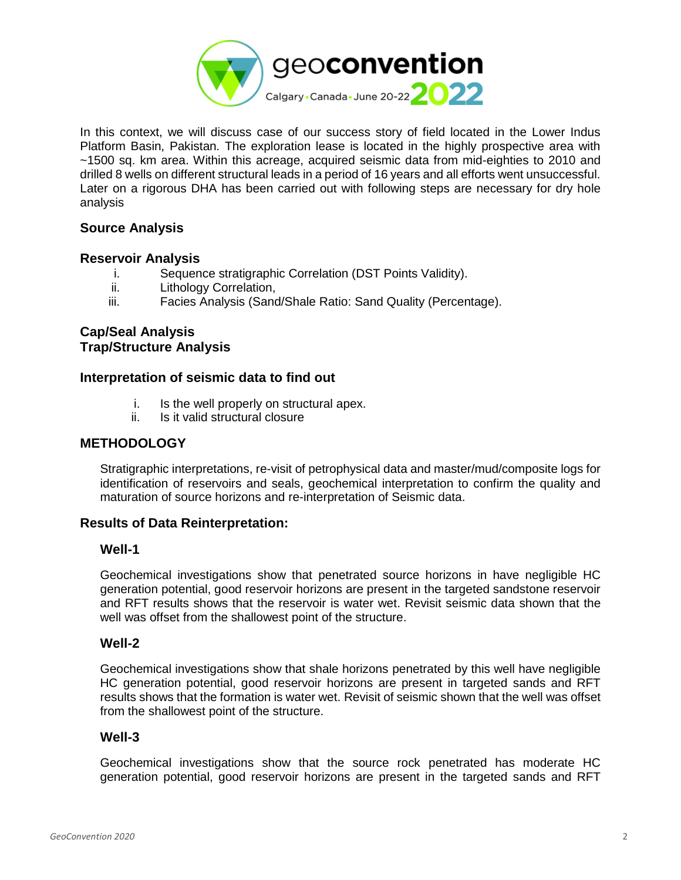

In this context, we will discuss case of our success story of field located in the Lower Indus Platform Basin, Pakistan. The exploration lease is located in the highly prospective area with ~1500 sq. km area. Within this acreage, acquired seismic data from mid-eighties to 2010 and drilled 8 wells on different structural leads in a period of 16 years and all efforts went unsuccessful. Later on a rigorous DHA has been carried out with following steps are necessary for dry hole analysis

# **Source Analysis**

#### **Reservoir Analysis**

- i. Sequence stratigraphic Correlation (DST Points Validity).<br>ii. Lithology Correlation.
- Lithology Correlation,
- iii. Facies Analysis (Sand/Shale Ratio: Sand Quality (Percentage).

# **Cap/Seal Analysis Trap/Structure Analysis**

## **Interpretation of seismic data to find out**

- i. Is the well properly on structural apex.
- ii. Is it valid structural closure

#### **METHODOLOGY**

Stratigraphic interpretations, re-visit of petrophysical data and master/mud/composite logs for identification of reservoirs and seals, geochemical interpretation to confirm the quality and maturation of source horizons and re-interpretation of Seismic data.

## **Results of Data Reinterpretation:**

#### **Well-1**

Geochemical investigations show that penetrated source horizons in have negligible HC generation potential, good reservoir horizons are present in the targeted sandstone reservoir and RFT results shows that the reservoir is water wet. Revisit seismic data shown that the well was offset from the shallowest point of the structure.

## **Well-2**

Geochemical investigations show that shale horizons penetrated by this well have negligible HC generation potential, good reservoir horizons are present in targeted sands and RFT results shows that the formation is water wet. Revisit of seismic shown that the well was offset from the shallowest point of the structure.

#### **Well-3**

Geochemical investigations show that the source rock penetrated has moderate HC generation potential, good reservoir horizons are present in the targeted sands and RFT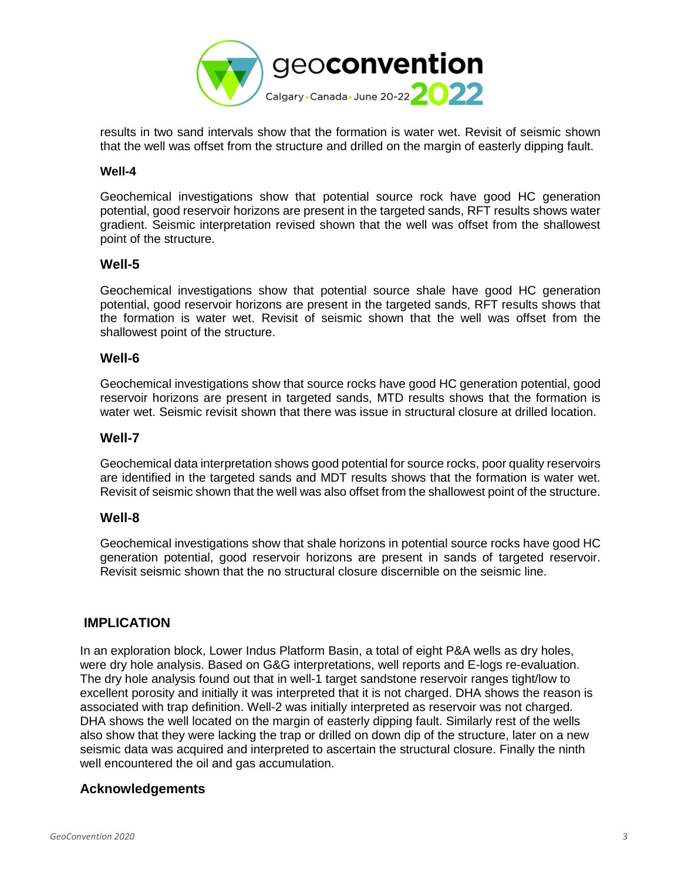

results in two sand intervals show that the formation is water wet. Revisit of seismic shown that the well was offset from the structure and drilled on the margin of easterly dipping fault.

#### **Well-4**

Geochemical investigations show that potential source rock have good HC generation potential, good reservoir horizons are present in the targeted sands, RFT results shows water gradient. Seismic interpretation revised shown that the well was offset from the shallowest point of the structure.

## **Well-5**

Geochemical investigations show that potential source shale have good HC generation potential, good reservoir horizons are present in the targeted sands, RFT results shows that the formation is water wet. Revisit of seismic shown that the well was offset from the shallowest point of the structure.

#### **Well-6**

Geochemical investigations show that source rocks have good HC generation potential, good reservoir horizons are present in targeted sands, MTD results shows that the formation is water wet. Seismic revisit shown that there was issue in structural closure at drilled location.

#### **Well-7**

Geochemical data interpretation shows good potential for source rocks, poor quality reservoirs are identified in the targeted sands and MDT results shows that the formation is water wet. Revisit of seismic shown that the well was also offset from the shallowest point of the structure.

## **Well-8**

Geochemical investigations show that shale horizons in potential source rocks have good HC generation potential, good reservoir horizons are present in sands of targeted reservoir. Revisit seismic shown that the no structural closure discernible on the seismic line.

## **IMPLICATION**

In an exploration block, Lower Indus Platform Basin, a total of eight P&A wells as dry holes, were dry hole analysis. Based on G&G interpretations, well reports and E-logs re-evaluation. The dry hole analysis found out that in well-1 target sandstone reservoir ranges tight/low to excellent porosity and initially it was interpreted that it is not charged. DHA shows the reason is associated with trap definition. Well-2 was initially interpreted as reservoir was not charged. DHA shows the well located on the margin of easterly dipping fault. Similarly rest of the wells also show that they were lacking the trap or drilled on down dip of the structure, later on a new seismic data was acquired and interpreted to ascertain the structural closure. Finally the ninth well encountered the oil and gas accumulation.

## **Acknowledgements**